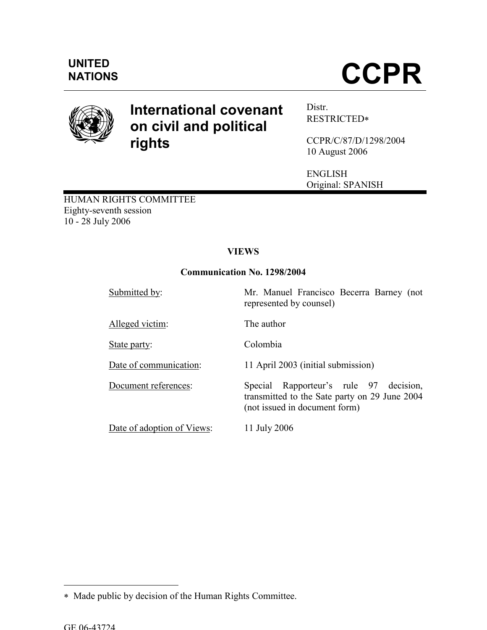# **CCPR**



# International covenant on civil and political rights

Distr. RESTRICTED∗

CCPR/C/87/D/1298/2004 10 August 2006

ENGLISH Original: SPANISH

HUMAN RIGHTS COMMITTEE Eighty-seventh session 10 - 28 July 2006

# VIEWS

# Communication No. 1298/2004

| Submitted by:              | Mr. Manuel Francisco Becerra Barney (not<br>represented by counsel)                                                         |
|----------------------------|-----------------------------------------------------------------------------------------------------------------------------|
| Alleged victim:            | The author                                                                                                                  |
| State party:               | Colombia                                                                                                                    |
| Date of communication:     | 11 April 2003 (initial submission)                                                                                          |
| Document references:       | Rapporteur's rule 97 decision,<br>Special<br>transmitted to the Sate party on 29 June 2004<br>(not issued in document form) |
| Date of adoption of Views: | 11 July 2006                                                                                                                |

 $\overline{a}$ 

<sup>∗</sup> Made public by decision of the Human Rights Committee.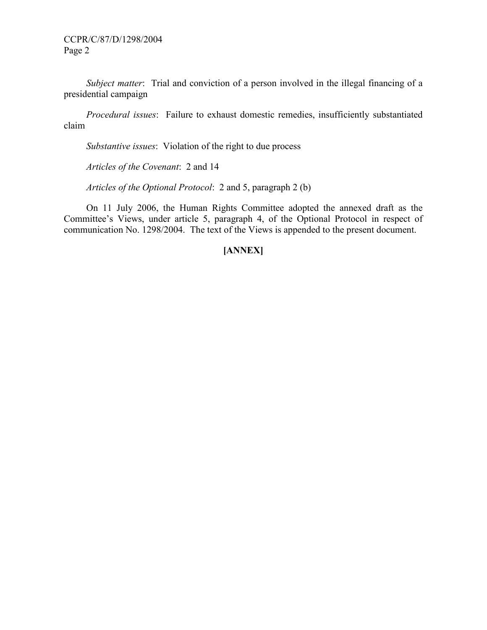Subject matter: Trial and conviction of a person involved in the illegal financing of a presidential campaign

 Procedural issues: Failure to exhaust domestic remedies, insufficiently substantiated claim

Substantive issues: Violation of the right to due process

Articles of the Covenant: 2 and 14

Articles of the Optional Protocol: 2 and 5, paragraph 2 (b)

 On 11 July 2006, the Human Rights Committee adopted the annexed draft as the Committee's Views, under article 5, paragraph 4, of the Optional Protocol in respect of communication No. 1298/2004. The text of the Views is appended to the present document.

# [ANNEX]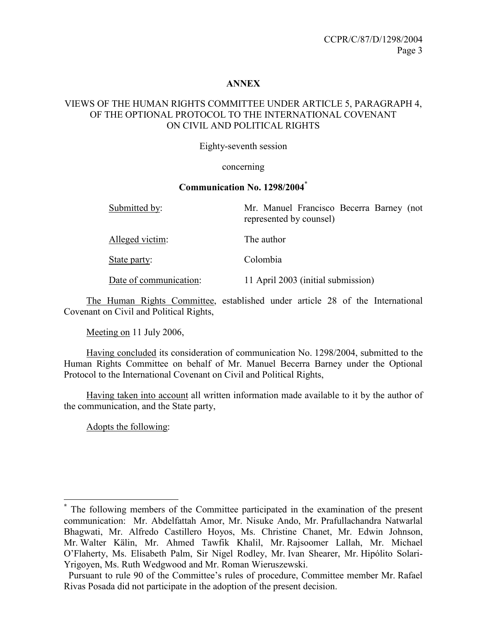## ANNEX

# VIEWS OF THE HUMAN RIGHTS COMMITTEE UNDER ARTICLE 5, PARAGRAPH 4, OF THE OPTIONAL PROTOCOL TO THE INTERNATIONAL COVENANT ON CIVIL AND POLITICAL RIGHTS

Eighty-seventh session

#### concerning

#### Communication No. 1298/2004\*

| Submitted by:          | Mr. Manuel Francisco Becerra Barney (not<br>represented by counsel) |
|------------------------|---------------------------------------------------------------------|
| Alleged victim:        | The author                                                          |
| State party:           | Colombia                                                            |
| Date of communication: | 11 April 2003 (initial submission)                                  |

 The Human Rights Committee, established under article 28 of the International Covenant on Civil and Political Rights,

Meeting on 11 July 2006,

 Having concluded its consideration of communication No. 1298/2004, submitted to the Human Rights Committee on behalf of Mr. Manuel Becerra Barney under the Optional Protocol to the International Covenant on Civil and Political Rights,

 Having taken into account all written information made available to it by the author of the communication, and the State party,

Adopts the following:

<sup>\*</sup> The following members of the Committee participated in the examination of the present communication: Mr. Abdelfattah Amor, Mr. Nisuke Ando, Mr. Prafullachandra Natwarlal Bhagwati, Mr. Alfredo Castillero Hoyos, Ms. Christine Chanet, Mr. Edwin Johnson, Mr. Walter Kälin, Mr. Ahmed Tawfik Khalil, Mr. Rajsoomer Lallah, Mr. Michael O'Flaherty, Ms. Elisabeth Palm, Sir Nigel Rodley, Mr. Ivan Shearer, Mr. Hipólito Solari-Yrigoyen, Ms. Ruth Wedgwood and Mr. Roman Wieruszewski.

Pursuant to rule 90 of the Committee's rules of procedure, Committee member Mr. Rafael Rivas Posada did not participate in the adoption of the present decision.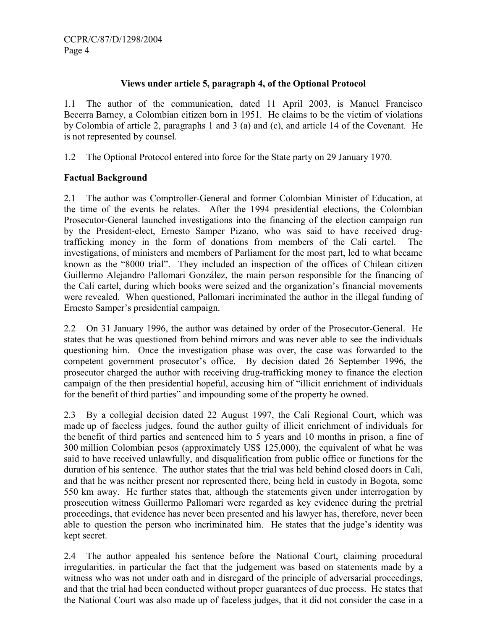# Views under article 5, paragraph 4, of the Optional Protocol

1.1 The author of the communication, dated 11 April 2003, is Manuel Francisco Becerra Barney, a Colombian citizen born in 1951. He claims to be the victim of violations by Colombia of article 2, paragraphs 1 and 3 (a) and (c), and article 14 of the Covenant. He is not represented by counsel.

1.2 The Optional Protocol entered into force for the State party on 29 January 1970.

# Factual Background

2.1 The author was Comptroller-General and former Colombian Minister of Education, at the time of the events he relates. After the 1994 presidential elections, the Colombian Prosecutor-General launched investigations into the financing of the election campaign run by the President-elect, Ernesto Samper Pizano, who was said to have received drugtrafficking money in the form of donations from members of the Cali cartel. The investigations, of ministers and members of Parliament for the most part, led to what became known as the "8000 trial". They included an inspection of the offices of Chilean citizen Guillermo Alejandro Pallomari González, the main person responsible for the financing of the Cali cartel, during which books were seized and the organization's financial movements were revealed. When questioned, Pallomari incriminated the author in the illegal funding of Ernesto Samper's presidential campaign.

2.2 On 31 January 1996, the author was detained by order of the Prosecutor-General. He states that he was questioned from behind mirrors and was never able to see the individuals questioning him. Once the investigation phase was over, the case was forwarded to the competent government prosecutor's office. By decision dated 26 September 1996, the prosecutor charged the author with receiving drug-trafficking money to finance the election campaign of the then presidential hopeful, accusing him of "illicit enrichment of individuals for the benefit of third parties" and impounding some of the property he owned.

2.3 By a collegial decision dated 22 August 1997, the Cali Regional Court, which was made up of faceless judges, found the author guilty of illicit enrichment of individuals for the benefit of third parties and sentenced him to 5 years and 10 months in prison, a fine of 300 million Colombian pesos (approximately US\$ 125,000), the equivalent of what he was said to have received unlawfully, and disqualification from public office or functions for the duration of his sentence. The author states that the trial was held behind closed doors in Cali, and that he was neither present nor represented there, being held in custody in Bogota, some 550 km away. He further states that, although the statements given under interrogation by prosecution witness Guillermo Pallomari were regarded as key evidence during the pretrial proceedings, that evidence has never been presented and his lawyer has, therefore, never been able to question the person who incriminated him. He states that the judge's identity was kept secret.

2.4 The author appealed his sentence before the National Court, claiming procedural irregularities, in particular the fact that the judgement was based on statements made by a witness who was not under oath and in disregard of the principle of adversarial proceedings, and that the trial had been conducted without proper guarantees of due process. He states that the National Court was also made up of faceless judges, that it did not consider the case in a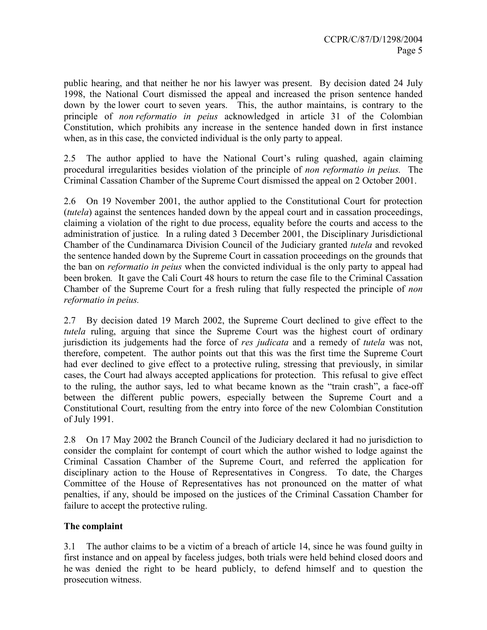public hearing, and that neither he nor his lawyer was present. By decision dated 24 July 1998, the National Court dismissed the appeal and increased the prison sentence handed down by the lower court to seven years. This, the author maintains, is contrary to the principle of non reformatio in peius acknowledged in article 31 of the Colombian Constitution, which prohibits any increase in the sentence handed down in first instance when, as in this case, the convicted individual is the only party to appeal.

2.5 The author applied to have the National Court's ruling quashed, again claiming procedural irregularities besides violation of the principle of non reformatio in peius. The Criminal Cassation Chamber of the Supreme Court dismissed the appeal on 2 October 2001.

2.6 On 19 November 2001, the author applied to the Constitutional Court for protection (tutela) against the sentences handed down by the appeal court and in cassation proceedings, claiming a violation of the right to due process, equality before the courts and access to the administration of justice. In a ruling dated 3 December 2001, the Disciplinary Jurisdictional Chamber of the Cundinamarca Division Council of the Judiciary granted tutela and revoked the sentence handed down by the Supreme Court in cassation proceedings on the grounds that the ban on reformatio in peius when the convicted individual is the only party to appeal had been broken. It gave the Cali Court 48 hours to return the case file to the Criminal Cassation Chamber of the Supreme Court for a fresh ruling that fully respected the principle of non reformatio in peius.

2.7 By decision dated 19 March 2002, the Supreme Court declined to give effect to the tutela ruling, arguing that since the Supreme Court was the highest court of ordinary jurisdiction its judgements had the force of res judicata and a remedy of tutela was not, therefore, competent. The author points out that this was the first time the Supreme Court had ever declined to give effect to a protective ruling, stressing that previously, in similar cases, the Court had always accepted applications for protection. This refusal to give effect to the ruling, the author says, led to what became known as the "train crash", a face-off between the different public powers, especially between the Supreme Court and a Constitutional Court, resulting from the entry into force of the new Colombian Constitution of July 1991.

2.8 On 17 May 2002 the Branch Council of the Judiciary declared it had no jurisdiction to consider the complaint for contempt of court which the author wished to lodge against the Criminal Cassation Chamber of the Supreme Court, and referred the application for disciplinary action to the House of Representatives in Congress. To date, the Charges Committee of the House of Representatives has not pronounced on the matter of what penalties, if any, should be imposed on the justices of the Criminal Cassation Chamber for failure to accept the protective ruling.

# The complaint

3.1 The author claims to be a victim of a breach of article 14, since he was found guilty in first instance and on appeal by faceless judges, both trials were held behind closed doors and he was denied the right to be heard publicly, to defend himself and to question the prosecution witness.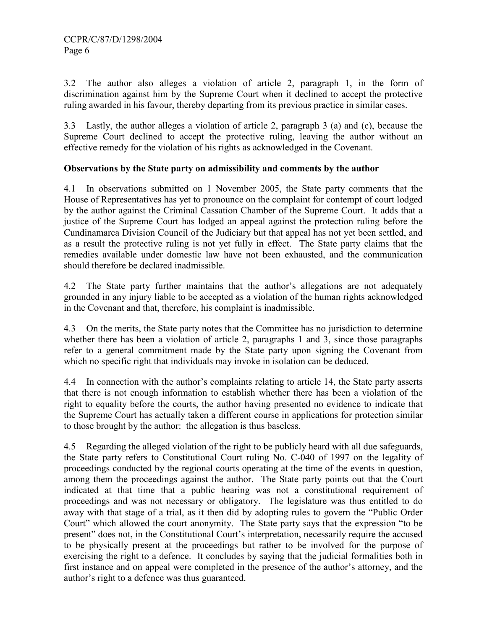3.2 The author also alleges a violation of article 2, paragraph 1, in the form of discrimination against him by the Supreme Court when it declined to accept the protective ruling awarded in his favour, thereby departing from its previous practice in similar cases.

3.3 Lastly, the author alleges a violation of article 2, paragraph 3 (a) and (c), because the Supreme Court declined to accept the protective ruling, leaving the author without an effective remedy for the violation of his rights as acknowledged in the Covenant.

# Observations by the State party on admissibility and comments by the author

4.1 In observations submitted on 1 November 2005, the State party comments that the House of Representatives has yet to pronounce on the complaint for contempt of court lodged by the author against the Criminal Cassation Chamber of the Supreme Court. It adds that a justice of the Supreme Court has lodged an appeal against the protection ruling before the Cundinamarca Division Council of the Judiciary but that appeal has not yet been settled, and as a result the protective ruling is not yet fully in effect. The State party claims that the remedies available under domestic law have not been exhausted, and the communication should therefore be declared inadmissible.

4.2 The State party further maintains that the author's allegations are not adequately grounded in any injury liable to be accepted as a violation of the human rights acknowledged in the Covenant and that, therefore, his complaint is inadmissible.

4.3 On the merits, the State party notes that the Committee has no jurisdiction to determine whether there has been a violation of article 2, paragraphs 1 and 3, since those paragraphs refer to a general commitment made by the State party upon signing the Covenant from which no specific right that individuals may invoke in isolation can be deduced.

4.4 In connection with the author's complaints relating to article 14, the State party asserts that there is not enough information to establish whether there has been a violation of the right to equality before the courts, the author having presented no evidence to indicate that the Supreme Court has actually taken a different course in applications for protection similar to those brought by the author: the allegation is thus baseless.

4.5 Regarding the alleged violation of the right to be publicly heard with all due safeguards, the State party refers to Constitutional Court ruling No. C-040 of 1997 on the legality of proceedings conducted by the regional courts operating at the time of the events in question, among them the proceedings against the author. The State party points out that the Court indicated at that time that a public hearing was not a constitutional requirement of proceedings and was not necessary or obligatory. The legislature was thus entitled to do away with that stage of a trial, as it then did by adopting rules to govern the "Public Order Court" which allowed the court anonymity. The State party says that the expression "to be present" does not, in the Constitutional Court's interpretation, necessarily require the accused to be physically present at the proceedings but rather to be involved for the purpose of exercising the right to a defence. It concludes by saying that the judicial formalities both in first instance and on appeal were completed in the presence of the author's attorney, and the author's right to a defence was thus guaranteed.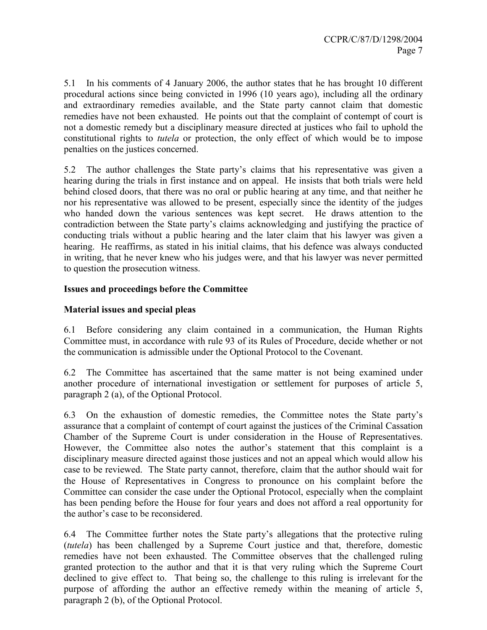5.1 In his comments of 4 January 2006, the author states that he has brought 10 different procedural actions since being convicted in 1996 (10 years ago), including all the ordinary and extraordinary remedies available, and the State party cannot claim that domestic remedies have not been exhausted. He points out that the complaint of contempt of court is not a domestic remedy but a disciplinary measure directed at justices who fail to uphold the constitutional rights to tutela or protection, the only effect of which would be to impose penalties on the justices concerned.

5.2 The author challenges the State party's claims that his representative was given a hearing during the trials in first instance and on appeal. He insists that both trials were held behind closed doors, that there was no oral or public hearing at any time, and that neither he nor his representative was allowed to be present, especially since the identity of the judges who handed down the various sentences was kept secret. He draws attention to the contradiction between the State party's claims acknowledging and justifying the practice of conducting trials without a public hearing and the later claim that his lawyer was given a hearing. He reaffirms, as stated in his initial claims, that his defence was always conducted in writing, that he never knew who his judges were, and that his lawyer was never permitted to question the prosecution witness.

# Issues and proceedings before the Committee

## Material issues and special pleas

6.1 Before considering any claim contained in a communication, the Human Rights Committee must, in accordance with rule 93 of its Rules of Procedure, decide whether or not the communication is admissible under the Optional Protocol to the Covenant.

6.2 The Committee has ascertained that the same matter is not being examined under another procedure of international investigation or settlement for purposes of article 5, paragraph 2 (a), of the Optional Protocol.

6.3 On the exhaustion of domestic remedies, the Committee notes the State party's assurance that a complaint of contempt of court against the justices of the Criminal Cassation Chamber of the Supreme Court is under consideration in the House of Representatives. However, the Committee also notes the author's statement that this complaint is a disciplinary measure directed against those justices and not an appeal which would allow his case to be reviewed. The State party cannot, therefore, claim that the author should wait for the House of Representatives in Congress to pronounce on his complaint before the Committee can consider the case under the Optional Protocol, especially when the complaint has been pending before the House for four years and does not afford a real opportunity for the author's case to be reconsidered.

6.4 The Committee further notes the State party's allegations that the protective ruling (tutela) has been challenged by a Supreme Court justice and that, therefore, domestic remedies have not been exhausted. The Committee observes that the challenged ruling granted protection to the author and that it is that very ruling which the Supreme Court declined to give effect to. That being so, the challenge to this ruling is irrelevant for the purpose of affording the author an effective remedy within the meaning of article 5, paragraph 2 (b), of the Optional Protocol.